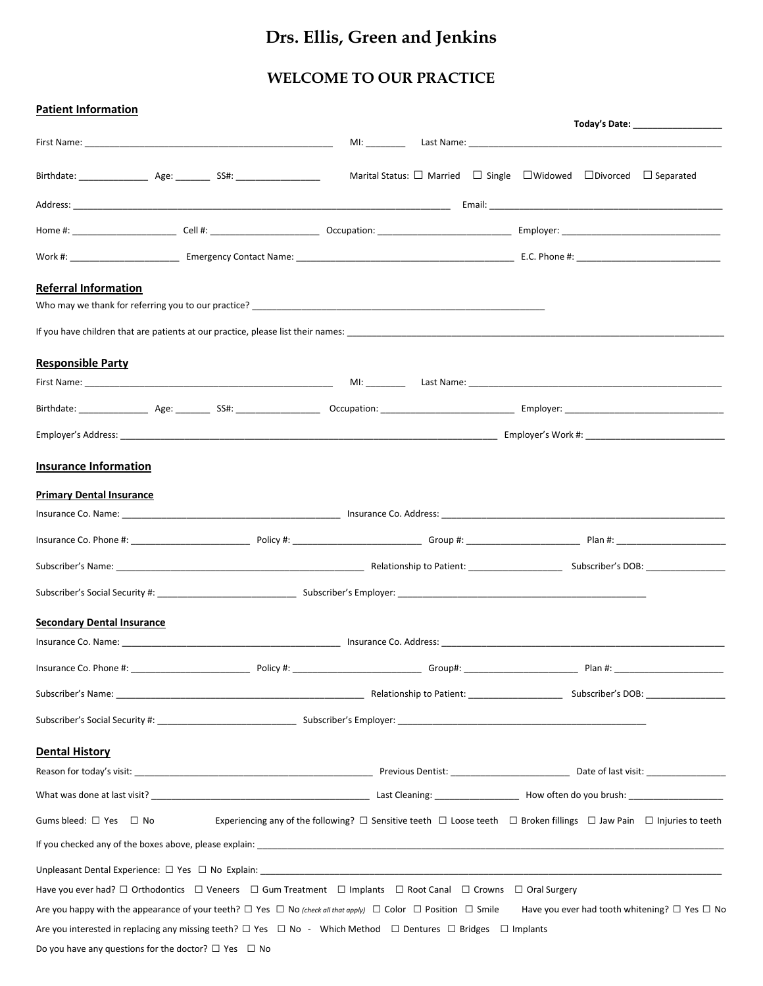# **Drs. Ellis, Green and Jenkins**

## **WELCOME TO OUR PRACTICE**

| <b>Patient Information</b>                                     |                                                                                                                                                                                                                                | Today's Date: ___________________                                                                                                            |
|----------------------------------------------------------------|--------------------------------------------------------------------------------------------------------------------------------------------------------------------------------------------------------------------------------|----------------------------------------------------------------------------------------------------------------------------------------------|
|                                                                |                                                                                                                                                                                                                                |                                                                                                                                              |
|                                                                |                                                                                                                                                                                                                                | Marital Status: $\Box$ Married $\Box$ Single $\Box$ Widowed $\Box$ Divorced $\Box$ Separated                                                 |
|                                                                |                                                                                                                                                                                                                                |                                                                                                                                              |
|                                                                |                                                                                                                                                                                                                                |                                                                                                                                              |
|                                                                |                                                                                                                                                                                                                                |                                                                                                                                              |
| <b>Referral Information</b>                                    |                                                                                                                                                                                                                                |                                                                                                                                              |
|                                                                | If you have children that are patients at our practice, please list their names: entries and the state of the state of the state of the state of the state of the state of the state of the state of the state of the state of |                                                                                                                                              |
| <b>Responsible Party</b>                                       |                                                                                                                                                                                                                                |                                                                                                                                              |
|                                                                |                                                                                                                                                                                                                                |                                                                                                                                              |
|                                                                |                                                                                                                                                                                                                                |                                                                                                                                              |
|                                                                |                                                                                                                                                                                                                                |                                                                                                                                              |
| <b>Insurance Information</b>                                   |                                                                                                                                                                                                                                |                                                                                                                                              |
| <b>Primary Dental Insurance</b>                                |                                                                                                                                                                                                                                |                                                                                                                                              |
|                                                                |                                                                                                                                                                                                                                |                                                                                                                                              |
|                                                                |                                                                                                                                                                                                                                |                                                                                                                                              |
|                                                                |                                                                                                                                                                                                                                |                                                                                                                                              |
|                                                                |                                                                                                                                                                                                                                |                                                                                                                                              |
| <b>Secondary Dental Insurance</b>                              |                                                                                                                                                                                                                                |                                                                                                                                              |
|                                                                |                                                                                                                                                                                                                                |                                                                                                                                              |
|                                                                |                                                                                                                                                                                                                                |                                                                                                                                              |
|                                                                | Subscriber's Social Security #: Note and Subscriber's Employer: Note and Subscriber's Employer:                                                                                                                                |                                                                                                                                              |
| <b>Dental History</b>                                          |                                                                                                                                                                                                                                |                                                                                                                                              |
|                                                                |                                                                                                                                                                                                                                |                                                                                                                                              |
|                                                                |                                                                                                                                                                                                                                |                                                                                                                                              |
| Gums bleed: □ Yes □ No                                         |                                                                                                                                                                                                                                | Experiencing any of the following? $\Box$ Sensitive teeth $\Box$ Loose teeth $\Box$ Broken fillings $\Box$ Jaw Pain $\Box$ Injuries to teeth |
|                                                                |                                                                                                                                                                                                                                |                                                                                                                                              |
|                                                                |                                                                                                                                                                                                                                |                                                                                                                                              |
|                                                                | Have you ever had? □ Orthodontics □ Veneers □ Gum Treatment □ Implants □ Root Canal □ Crowns □ Oral Surgery                                                                                                                    |                                                                                                                                              |
|                                                                | Are you happy with the appearance of your teeth? $\Box$ Yes $\Box$ No (check all that apply) $\Box$ Color $\Box$ Position $\Box$ Smile                                                                                         | Have you ever had tooth whitening? $\square$ Yes $\square$ No                                                                                |
|                                                                | Are you interested in replacing any missing teeth? $\Box$ Yes $\Box$ No - Which Method $\Box$ Dentures $\Box$ Bridges $\Box$ Implants                                                                                          |                                                                                                                                              |
| Do you have any questions for the doctor? $\Box$ Yes $\Box$ No |                                                                                                                                                                                                                                |                                                                                                                                              |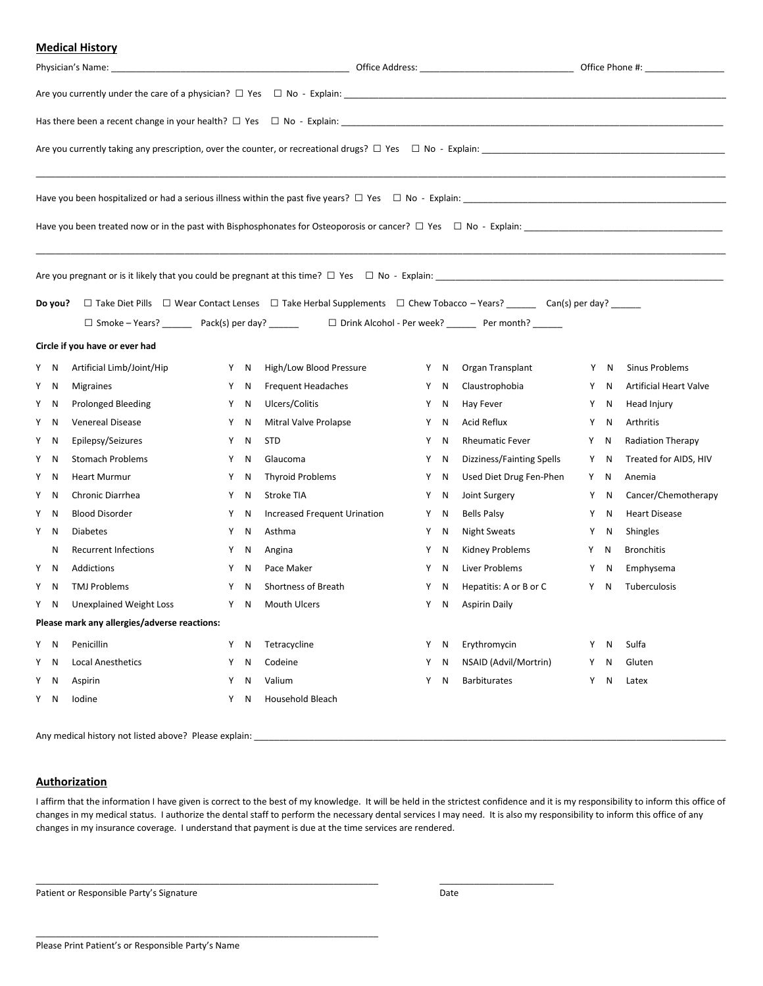#### **Medical History**

| Do you?<br>$\Box$ Take Diet Pills $\Box$ Wear Contact Lenses $\Box$ Take Herbal Supplements $\Box$ Chew Tobacco - Years? ______ Can(s) per day? ______<br>□ Smoke - Years? ___________ Pack(s) per day? _________    □ Drink Alcohol - Per week? _________ Per month? _______ |    |                                              |   |     |                              |   |     |                           |   |     |                               |
|-------------------------------------------------------------------------------------------------------------------------------------------------------------------------------------------------------------------------------------------------------------------------------|----|----------------------------------------------|---|-----|------------------------------|---|-----|---------------------------|---|-----|-------------------------------|
|                                                                                                                                                                                                                                                                               |    | Circle if you have or ever had               |   |     |                              |   |     |                           |   |     |                               |
| Y N                                                                                                                                                                                                                                                                           |    | Artificial Limb/Joint/Hip                    |   | Y N | High/Low Blood Pressure      | Y | N   | Organ Transplant          |   | Y N | Sinus Problems                |
| Y N                                                                                                                                                                                                                                                                           |    | <b>Migraines</b>                             | Y | N   | <b>Frequent Headaches</b>    | Y | N   | Claustrophobia            |   | Y N | <b>Artificial Heart Valve</b> |
| Y N                                                                                                                                                                                                                                                                           |    | <b>Prolonged Bleeding</b>                    |   | Y N | Ulcers/Colitis               | Y | N   | Hay Fever                 |   | Y N | Head Injury                   |
| Y                                                                                                                                                                                                                                                                             | N  | <b>Venereal Disease</b>                      | Y | N   | Mitral Valve Prolapse        | Y | N   | Acid Reflux               |   | Y N | Arthritis                     |
| Y N                                                                                                                                                                                                                                                                           |    | Epilepsy/Seizures                            | Y | N   | <b>STD</b>                   | Y | N   | <b>Rheumatic Fever</b>    |   | Y N | <b>Radiation Therapy</b>      |
| Y                                                                                                                                                                                                                                                                             | N  | <b>Stomach Problems</b>                      | Y | N   | Glaucoma                     | Y | N   | Dizziness/Fainting Spells |   | Y N | Treated for AIDS, HIV         |
| Y                                                                                                                                                                                                                                                                             | N  | <b>Heart Murmur</b>                          | Y | N   | <b>Thyroid Problems</b>      |   | Y N | Used Diet Drug Fen-Phen   |   | Y N | Anemia                        |
| Y N                                                                                                                                                                                                                                                                           |    | Chronic Diarrhea                             | Y | N   | Stroke TIA                   | Y | N   | Joint Surgery             |   | Y N | Cancer/Chemotherapy           |
| Y                                                                                                                                                                                                                                                                             | N  | <b>Blood Disorder</b>                        | Y | N   | Increased Frequent Urination | Y | N   | <b>Bells Palsy</b>        | Y | N.  | <b>Heart Disease</b>          |
| Y N                                                                                                                                                                                                                                                                           |    | <b>Diabetes</b>                              | Y | N   | Asthma                       | Y | N   | <b>Night Sweats</b>       |   | Y N | Shingles                      |
|                                                                                                                                                                                                                                                                               | N  | Recurrent Infections                         | Y | N   | Angina                       | Y | N   | Kidney Problems           |   | Y N | <b>Bronchitis</b>             |
| Y N                                                                                                                                                                                                                                                                           |    | Addictions                                   |   | Y N | Pace Maker                   | Y | N   | Liver Problems            |   | Y N | Emphysema                     |
| Y                                                                                                                                                                                                                                                                             | -N | <b>TMJ Problems</b>                          | Y | N   | Shortness of Breath          | Y | N   | Hepatitis: A or B or C    | Y | N   | Tuberculosis                  |
| Y N                                                                                                                                                                                                                                                                           |    | Unexplained Weight Loss                      |   | Y N | Mouth Ulcers                 |   | Y N | <b>Aspirin Daily</b>      |   |     |                               |
|                                                                                                                                                                                                                                                                               |    | Please mark any allergies/adverse reactions: |   |     |                              |   |     |                           |   |     |                               |
| Y N                                                                                                                                                                                                                                                                           |    | Penicillin                                   |   | Y N | Tetracycline                 | Y | N   | Erythromycin              | Y | N   | Sulfa                         |
| Y                                                                                                                                                                                                                                                                             | N  | <b>Local Anesthetics</b>                     | Y | N   | Codeine                      | Y | N   | NSAID (Advil/Mortrin)     | Y | N   | Gluten                        |
| Y                                                                                                                                                                                                                                                                             | N  | Aspirin                                      | Y | N   | Valium                       | Y | N   | <b>Barbiturates</b>       | Y | N   | Latex                         |
| Y                                                                                                                                                                                                                                                                             | N  | Iodine                                       | Y | N   | Household Bleach             |   |     |                           |   |     |                               |
|                                                                                                                                                                                                                                                                               |    |                                              |   |     |                              |   |     |                           |   |     |                               |

Any medical history not listed above? Please explain:

#### **Authorization**

I affirm that the information I have given is correct to the best of my knowledge. It will be held in the strictest confidence and it is my responsibility to inform this office of changes in my medical status. I authorize the dental staff to perform the necessary dental services I may need. It is also my responsibility to inform this office of any changes in my insurance coverage. I understand that payment is due at the time services are rendered.

\_\_\_\_\_\_\_\_\_\_\_\_\_\_\_\_\_\_\_\_\_\_\_\_\_\_\_\_\_\_\_\_\_\_\_\_\_\_\_\_\_\_\_\_\_\_\_\_\_\_\_\_\_\_\_\_\_\_\_\_\_\_\_\_\_\_\_\_\_ \_\_\_\_\_\_\_\_\_\_\_\_\_\_\_\_\_\_\_\_\_\_\_

Patient or Responsible Party's Signature data and the Unit of Patient or Responsible Party's Signature Date

\_\_\_\_\_\_\_\_\_\_\_\_\_\_\_\_\_\_\_\_\_\_\_\_\_\_\_\_\_\_\_\_\_\_\_\_\_\_\_\_\_\_\_\_\_\_\_\_\_\_\_\_\_\_\_\_\_\_\_\_\_\_\_\_\_\_\_\_\_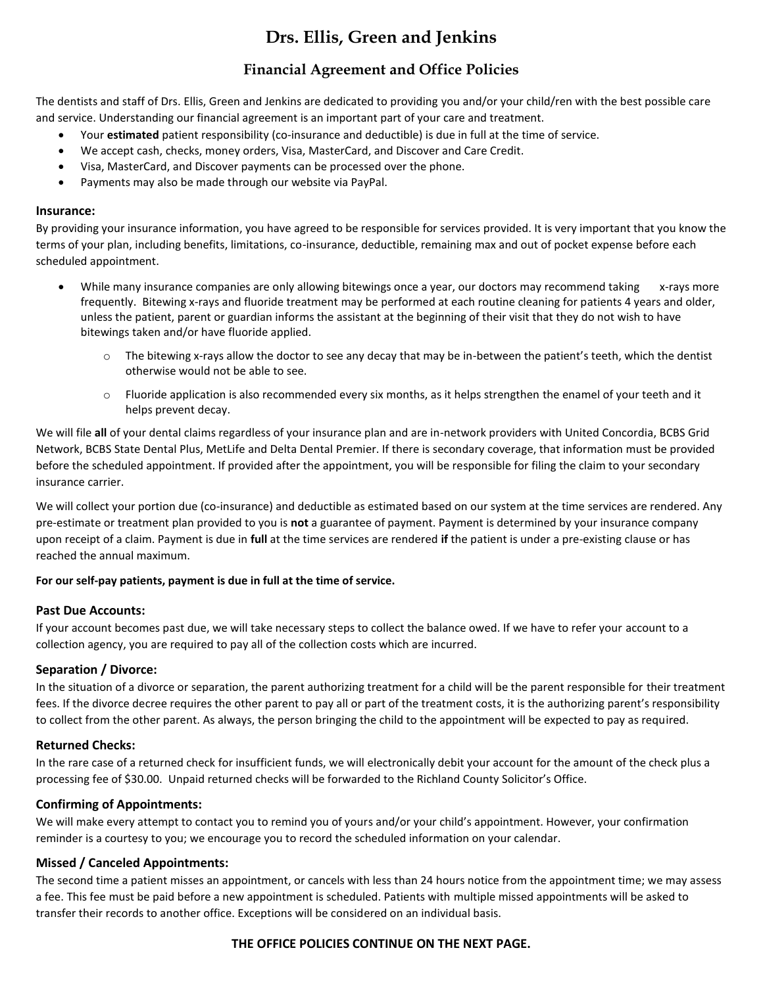## **Drs. Ellis, Green and Jenkins**

### **Financial Agreement and Office Policies**

The dentists and staff of Drs. Ellis, Green and Jenkins are dedicated to providing you and/or your child/ren with the best possible care and service. Understanding our financial agreement is an important part of your care and treatment.

- Your **estimated** patient responsibility (co-insurance and deductible) is due in full at the time of service.
- We accept cash, checks, money orders, Visa, MasterCard, and Discover and Care Credit.
- Visa, MasterCard, and Discover payments can be processed over the phone.
- Payments may also be made through our website via PayPal.

#### **Insurance:**

By providing your insurance information, you have agreed to be responsible for services provided. It is very important that you know the terms of your plan, including benefits, limitations, co-insurance, deductible, remaining max and out of pocket expense before each scheduled appointment.

- While many insurance companies are only allowing bitewings once a year, our doctors may recommend taking x-rays more frequently. Bitewing x-rays and fluoride treatment may be performed at each routine cleaning for patients 4 years and older, unless the patient, parent or guardian informs the assistant at the beginning of their visit that they do not wish to have bitewings taken and/or have fluoride applied.
	- $\circ$  The bitewing x-rays allow the doctor to see any decay that may be in-between the patient's teeth, which the dentist otherwise would not be able to see.
	- o Fluoride application is also recommended every six months, as it helps strengthen the enamel of your teeth and it helps prevent decay.

We will file **all** of your dental claims regardless of your insurance plan and are in-network providers with United Concordia, BCBS Grid Network, BCBS State Dental Plus, MetLife and Delta Dental Premier. If there is secondary coverage, that information must be provided before the scheduled appointment. If provided after the appointment, you will be responsible for filing the claim to your secondary insurance carrier.

We will collect your portion due (co-insurance) and deductible as estimated based on our system at the time services are rendered. Any pre-estimate or treatment plan provided to you is **not** a guarantee of payment. Payment is determined by your insurance company upon receipt of a claim. Payment is due in **full** at the time services are rendered **if** the patient is under a pre-existing clause or has reached the annual maximum.

#### **For our self-pay patients, payment is due in full at the time of service.**

#### **Past Due Accounts:**

If your account becomes past due, we will take necessary steps to collect the balance owed. If we have to refer your account to a collection agency, you are required to pay all of the collection costs which are incurred.

#### **Separation / Divorce:**

In the situation of a divorce or separation, the parent authorizing treatment for a child will be the parent responsible for their treatment fees. If the divorce decree requires the other parent to pay all or part of the treatment costs, it is the authorizing parent's responsibility to collect from the other parent. As always, the person bringing the child to the appointment will be expected to pay as required.

#### **Returned Checks:**

In the rare case of a returned check for insufficient funds, we will electronically debit your account for the amount of the check plus a processing fee of \$30.00. Unpaid returned checks will be forwarded to the Richland County Solicitor's Office.

#### **Confirming of Appointments:**

We will make every attempt to contact you to remind you of yours and/or your child's appointment. However, your confirmation reminder is a courtesy to you; we encourage you to record the scheduled information on your calendar.

#### **Missed / Canceled Appointments:**

The second time a patient misses an appointment, or cancels with less than 24 hours notice from the appointment time; we may assess a fee. This fee must be paid before a new appointment is scheduled. Patients with multiple missed appointments will be asked to transfer their records to another office. Exceptions will be considered on an individual basis.

#### **THE OFFICE POLICIES CONTINUE ON THE NEXT PAGE.**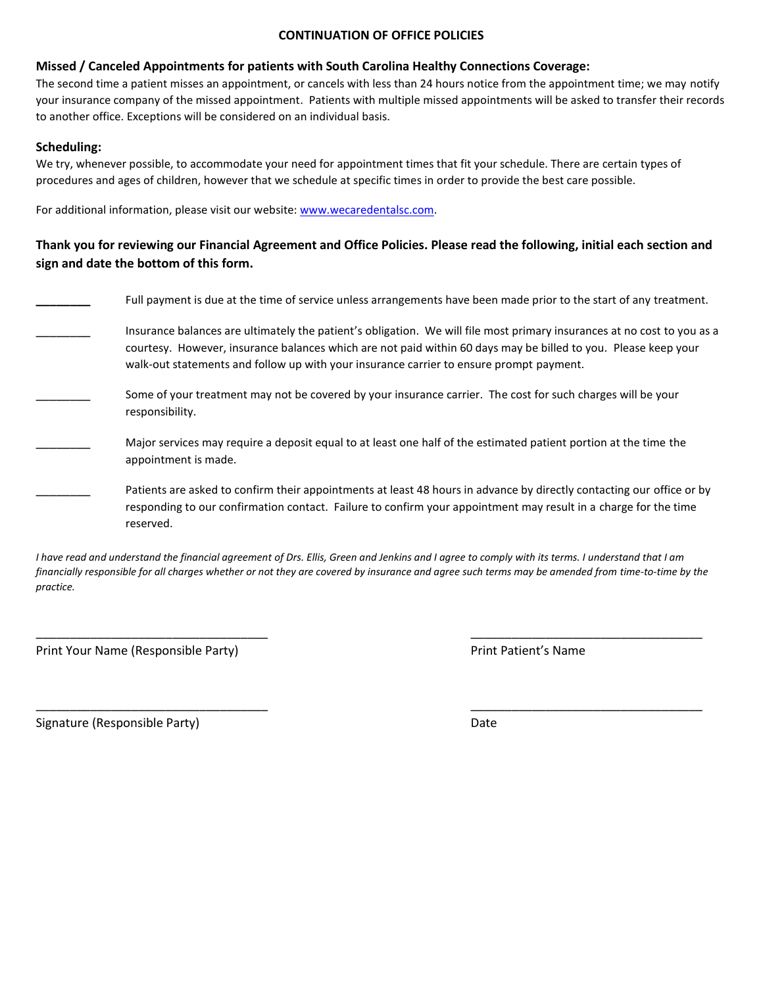#### **CONTINUATION OF OFFICE POLICIES**

#### **Missed / Canceled Appointments for patients with South Carolina Healthy Connections Coverage:**

The second time a patient misses an appointment, or cancels with less than 24 hours notice from the appointment time; we may notify your insurance company of the missed appointment. Patients with multiple missed appointments will be asked to transfer their records to another office. Exceptions will be considered on an individual basis.

#### **Scheduling:**

We try, whenever possible, to accommodate your need for appointment times that fit your schedule. There are certain types of procedures and ages of children, however that we schedule at specific times in order to provide the best care possible.

For additional information, please visit our website: [www.wecaredentalsc.com.](http://www.wecaredentalsc.com/) 

### **Thank you for reviewing our Financial Agreement and Office Policies. Please read the following, initial each section and sign and date the bottom of this form.**

| Full payment is due at the time of service unless arrangements have been made prior to the start of any treatment.                                                                                                                                                                                                                   |
|--------------------------------------------------------------------------------------------------------------------------------------------------------------------------------------------------------------------------------------------------------------------------------------------------------------------------------------|
| Insurance balances are ultimately the patient's obligation. We will file most primary insurances at no cost to you as a<br>courtesy. However, insurance balances which are not paid within 60 days may be billed to you. Please keep your<br>walk-out statements and follow up with your insurance carrier to ensure prompt payment. |
| Some of your treatment may not be covered by your insurance carrier. The cost for such charges will be your<br>responsibility.                                                                                                                                                                                                       |
| Major services may require a deposit equal to at least one half of the estimated patient portion at the time the<br>appointment is made.                                                                                                                                                                                             |
| Patients are asked to confirm their appointments at least 48 hours in advance by directly contacting our office or by<br>responding to our confirmation contact. Failure to confirm your appointment may result in a charge for the time<br>reserved.                                                                                |

*I have read and understand the financial agreement of Drs. Ellis, Green and Jenkins and I agree to comply with its terms. I understand that I am financially responsible for all charges whether or not they are covered by insurance and agree such terms may be amended from time-to-time by the practice.* 

\_\_\_\_\_\_\_\_\_\_\_\_\_\_\_\_\_\_\_\_\_\_\_\_\_\_\_\_\_\_\_\_\_\_ \_\_\_\_\_\_\_\_\_\_\_\_\_\_\_\_\_\_\_\_\_\_\_\_\_\_\_\_\_\_\_\_\_\_

\_\_\_\_\_\_\_\_\_\_\_\_\_\_\_\_\_\_\_\_\_\_\_\_\_\_\_\_\_\_\_\_\_\_ \_\_\_\_\_\_\_\_\_\_\_\_\_\_\_\_\_\_\_\_\_\_\_\_\_\_\_\_\_\_\_\_\_\_

Print Your Name (Responsible Party) and the extendion of the Print Patient's Name

Signature (Responsible Party) and the Contract of Contract Contract Date